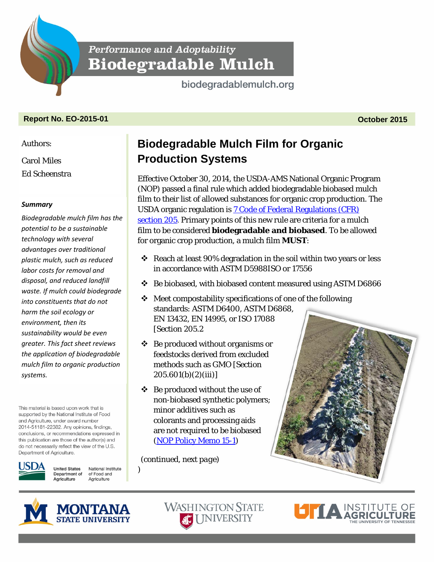**Performance and Adoptability Biodegradable Mulch** 

biodegradablemulch.org

## **Report No. EO-2015-01 October 2015**

Authors:

Carol Miles

Ed Scheenstra

## *Summary*

*Biodegra[dable mulch film has the](http://www.regulations.gov/#!documentDetail;D=AMS-NOP-13-0011-0125)  potential to be a sustainable technology with several advantages over traditional plastic mulch, such as reduced labor costs for removal and disposal, and reduced landfill waste. If mulch could biodegrade into constituents that do not harm the soil ecology or environment, then its sustainability would be even greater. This fact sheet reviews the application of biodegradable mulch film to organic production systems.*

This material is based upon work that is supported by the National Institute of Food and Agriculture, under award number 2014-51181-22382. Any opinions, findings, conclusions, or recommendations expressed in this publication are those of the author(s) and do not necessarily reflect the view of the U.S. Department of Agriculture.

**United States** National Institute Department of of Food and Agriculture Agriculture

# **Biodegradable Mulch Film for Organic Production Systems**

Effective October 30, 2014, the USDA-AMS National Organic Program (NOP) passed a final rule which added biodegradable biobased mulch film to their list of allowed substances for organic crop production. The USDA organic regulation is [7 Code of Federal Regulations \(CFR\)](http://www.regulations.gov/#!documentDetail;D=AMS-NOP-13-0011-0125)  section 205. Primary points of this new rule are criteria for a mulch film to be considered **biodegradable and biobased**. To be allowed for organic crop production, a mulch film **MUST**:

- $\cdot$  Reach at least 90% degradation in the soil within two years or less in accordance with ASTM D5988ISO or 17556
- $\div$  Be biobased, with biobased content measured using ASTM D6866
- $\div$  Meet compostability specifications of one of the following standards: ASTM D6400, ASTM D6868, EN 13432, EN 14995, or ISO 17088 [*Section 205.2*
- $\triangleleft$  Be produced without organisms or feedstocks derived from excluded methods such as GMO [*Section 205.601(b)(2)(iii)*]
- $\div$  Be produced without the use of non-biobased synthetic polymers; minor additives such as colorants and processing aids are not required to be biobased [\(NOP Policy Memo 15-1\)](http://www.ams.usda.gov/rules-regulations/organic/handbook/sectiong)

*(continued, next page)*

)